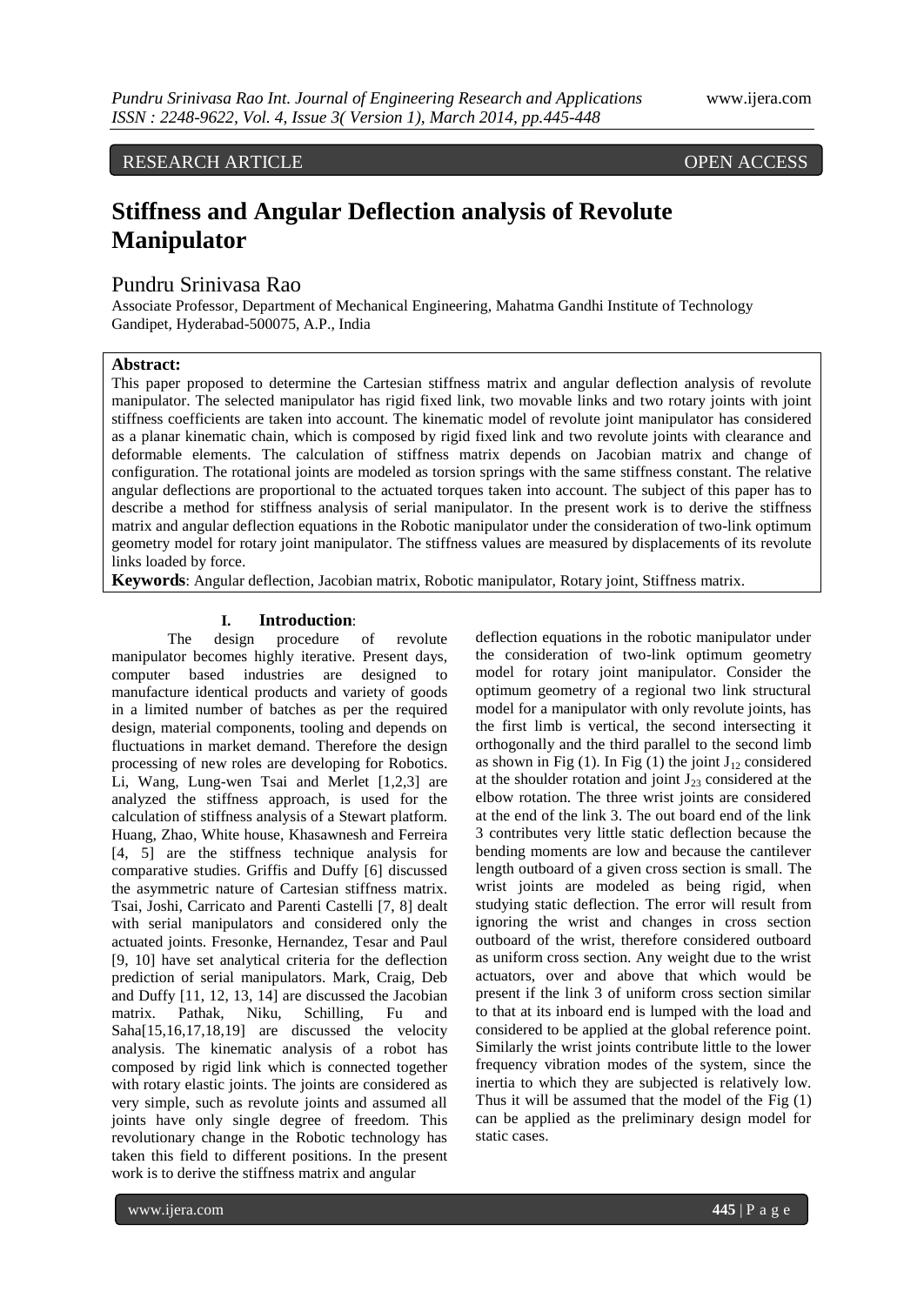RESEARCH ARTICLE OPEN ACCESS

# **Stiffness and Angular Deflection analysis of Revolute Manipulator**

# Pundru Srinivasa Rao

Associate Professor, Department of Mechanical Engineering, Mahatma Gandhi Institute of Technology Gandipet, Hyderabad-500075, A.P., India

### **Abstract:**

This paper proposed to determine the Cartesian stiffness matrix and angular deflection analysis of revolute manipulator. The selected manipulator has rigid fixed link, two movable links and two rotary joints with joint stiffness coefficients are taken into account. The kinematic model of revolute joint manipulator has considered as a planar kinematic chain, which is composed by rigid fixed link and two revolute joints with clearance and deformable elements. The calculation of stiffness matrix depends on Jacobian matrix and change of configuration. The rotational joints are modeled as torsion springs with the same stiffness constant. The relative angular deflections are proportional to the actuated torques taken into account. The subject of this paper has to describe a method for stiffness analysis of serial manipulator. In the present work is to derive the stiffness matrix and angular deflection equations in the Robotic manipulator under the consideration of two-link optimum geometry model for rotary joint manipulator. The stiffness values are measured by displacements of its revolute links loaded by force.

**Keywords**: Angular deflection, Jacobian matrix, Robotic manipulator, Rotary joint, Stiffness matrix.

#### **I. Introduction**:

The design procedure of revolute manipulator becomes highly iterative. Present days, computer based industries are designed to manufacture identical products and variety of goods in a limited number of batches as per the required design, material components, tooling and depends on fluctuations in market demand. Therefore the design processing of new roles are developing for Robotics. Li, Wang, Lung-wen Tsai and Merlet [1,2,3] are analyzed the stiffness approach, is used for the calculation of stiffness analysis of a Stewart platform. Huang, Zhao, White house, Khasawnesh and Ferreira [4, 5] are the stiffness technique analysis for comparative studies. Griffis and Duffy [6] discussed the asymmetric nature of Cartesian stiffness matrix. Tsai, Joshi, Carricato and Parenti Castelli [7, 8] dealt with serial manipulators and considered only the actuated joints. Fresonke, Hernandez, Tesar and Paul [9, 10] have set analytical criteria for the deflection prediction of serial manipulators. Mark, Craig, Deb and Duffy [11, 12, 13, 14] are discussed the Jacobian matrix. Pathak, Niku, Schilling, Fu and Saha[15,16,17,18,19] are discussed the velocity analysis. The kinematic analysis of a robot has composed by rigid link which is connected together with rotary elastic joints. The joints are considered as very simple, such as revolute joints and assumed all joints have only single degree of freedom. This revolutionary change in the Robotic technology has taken this field to different positions. In the present work is to derive the stiffness matrix and angular

deflection equations in the robotic manipulator under the consideration of two-link optimum geometry model for rotary joint manipulator. Consider the optimum geometry of a regional two link structural model for a manipulator with only revolute joints, has the first limb is vertical, the second intersecting it orthogonally and the third parallel to the second limb as shown in Fig  $(1)$ . In Fig  $(1)$  the joint J<sub>12</sub> considered at the shoulder rotation and joint  $J_{23}$  considered at the elbow rotation. The three wrist joints are considered at the end of the link 3. The out board end of the link 3 contributes very little static deflection because the bending moments are low and because the cantilever length outboard of a given cross section is small. The wrist joints are modeled as being rigid, when studying static deflection. The error will result from ignoring the wrist and changes in cross section outboard of the wrist, therefore considered outboard as uniform cross section. Any weight due to the wrist actuators, over and above that which would be present if the link 3 of uniform cross section similar to that at its inboard end is lumped with the load and considered to be applied at the global reference point. Similarly the wrist joints contribute little to the lower frequency vibration modes of the system, since the inertia to which they are subjected is relatively low. Thus it will be assumed that the model of the Fig (1) can be applied as the preliminary design model for static cases.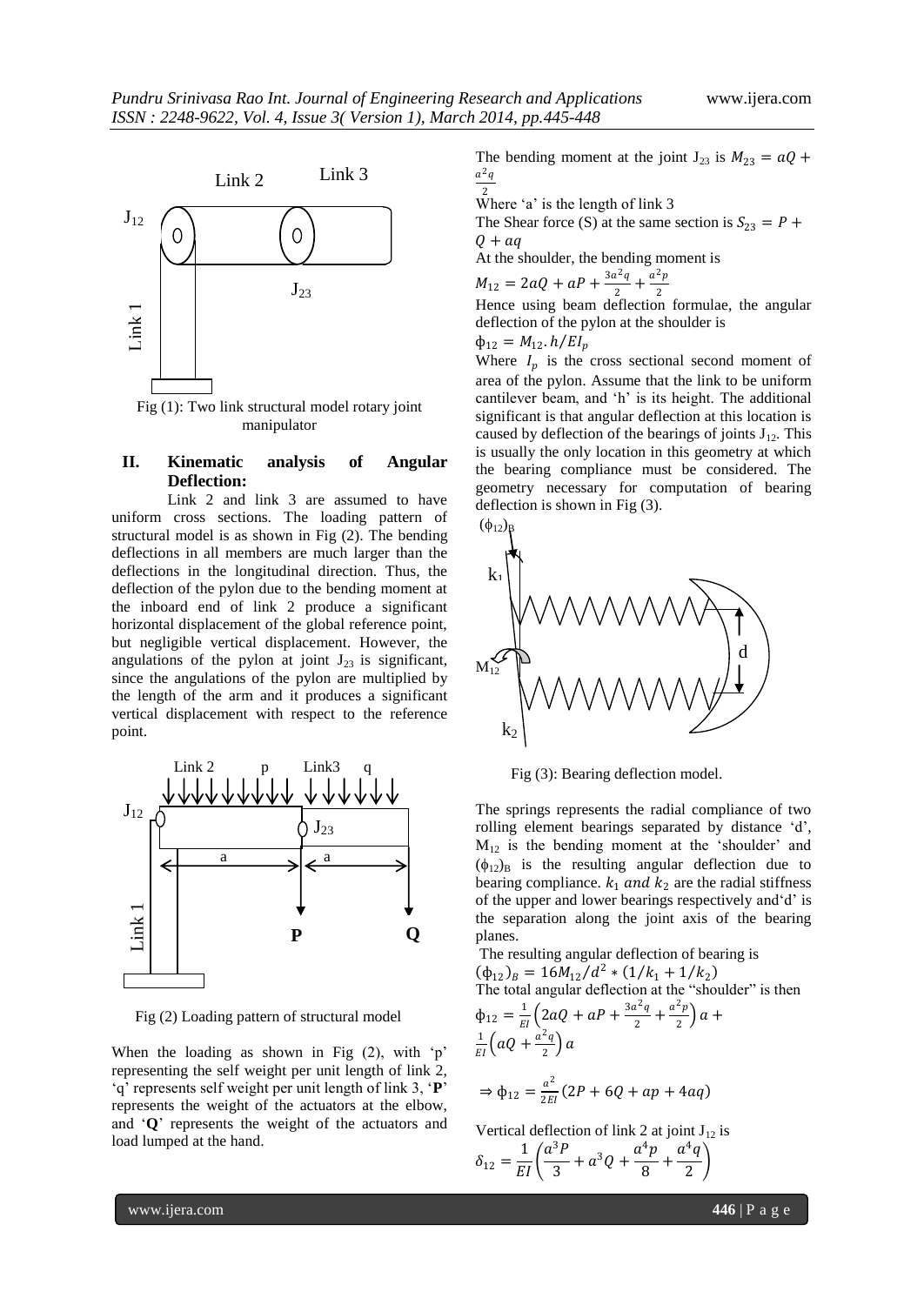

#### manipulator

## **II. Kinematic analysis of Angular Deflection:**

Link 2 and link 3 are assumed to have uniform cross sections. The loading pattern of structural model is as shown in Fig (2). The bending deflections in all members are much larger than the deflections in the longitudinal direction. Thus, the deflection of the pylon due to the bending moment at the inboard end of link 2 produce a significant horizontal displacement of the global reference point, but negligible vertical displacement. However, the angulations of the pylon at joint  $J_{23}$  is significant, since the angulations of the pylon are multiplied by the length of the arm and it produces a significant vertical displacement with respect to the reference point.



Fig (2) Loading pattern of structural model

When the loading as shown in Fig  $(2)$ , with 'p' representing the self weight per unit length of link 2, "q" represents self weight per unit length of link 3, "**P**" represents the weight of the actuators at the elbow, and "**Q**" represents the weight of the actuators and load lumped at the hand.

The bending moment at the joint  $J_{23}$  is  $M_{23} = aQ +$  $a^2q$ 

 $\frac{2}{3}$  Where 'a' is the length of link 3

The Shear force (S) at the same section is  $S_{23} = P +$  $Q + aq$ 

At the shoulder, the bending moment is

$$
M_{12} = 2aQ + aP + \frac{3a^2q}{2} + \frac{a^2p}{2}
$$

 $2 \left( \frac{2}{2} \right)$  2<br>Hence using beam deflection formulae, the angular deflection of the pylon at the shoulder is

i,

$$
\Phi_{12}=M_{12}.h/EI_p
$$

Where  $I_p$  is the cross sectional second moment of area of the pylon. Assume that the link to be uniform cantilever beam, and 'h' is its height. The additional significant is that angular deflection at this location is caused by deflection of the bearings of joints  $J_{12}$ . This is usually the only location in this geometry at which the bearing compliance must be considered. The geometry necessary for computation of bearing deflection is shown in Fig (3).



Fig (3): Bearing deflection model.

The springs represents the radial compliance of two rolling element bearings separated by distance "d",  $M_{12}$  is the bending moment at the 'shoulder' and  $(\phi_{12})_B$  is the resulting angular deflection due to bearing compliance.  $k_1$  and  $k_2$  are the radial stiffness of the upper and lower bearings respectively and'd' is the separation along the joint axis of the bearing planes.

The resulting angular deflection of bearing is  $(\phi_{12})_B = 16M_{12}/d^2 * (1/k_1 + 1/k_2)$ The total angular deflection at the "shoulder" is then  $\phi_{12} = \frac{1}{F}$  $\frac{1}{EI}\left(2aQ + aP + \frac{3a^2q}{2}\right)$  $\frac{a^2q}{2} + \frac{a^2p}{2}$  $\frac{p}{2}$ ) a + 1  $\frac{1}{EI}\left(aQ+\frac{a^2q}{2}\right)$  $\frac{q}{2}$ ) a

$$
\Rightarrow \phi_{12} = \frac{a^2}{2EI}(2P + 6Q + ap + 4aq)
$$

Vertical deflection of link 2 at joint  $J_{12}$  is

$$
\delta_{12} = \frac{1}{EI} \left( \frac{a^3 P}{3} + a^3 Q + \frac{a^4 p}{8} + \frac{a^4 q}{2} \right)
$$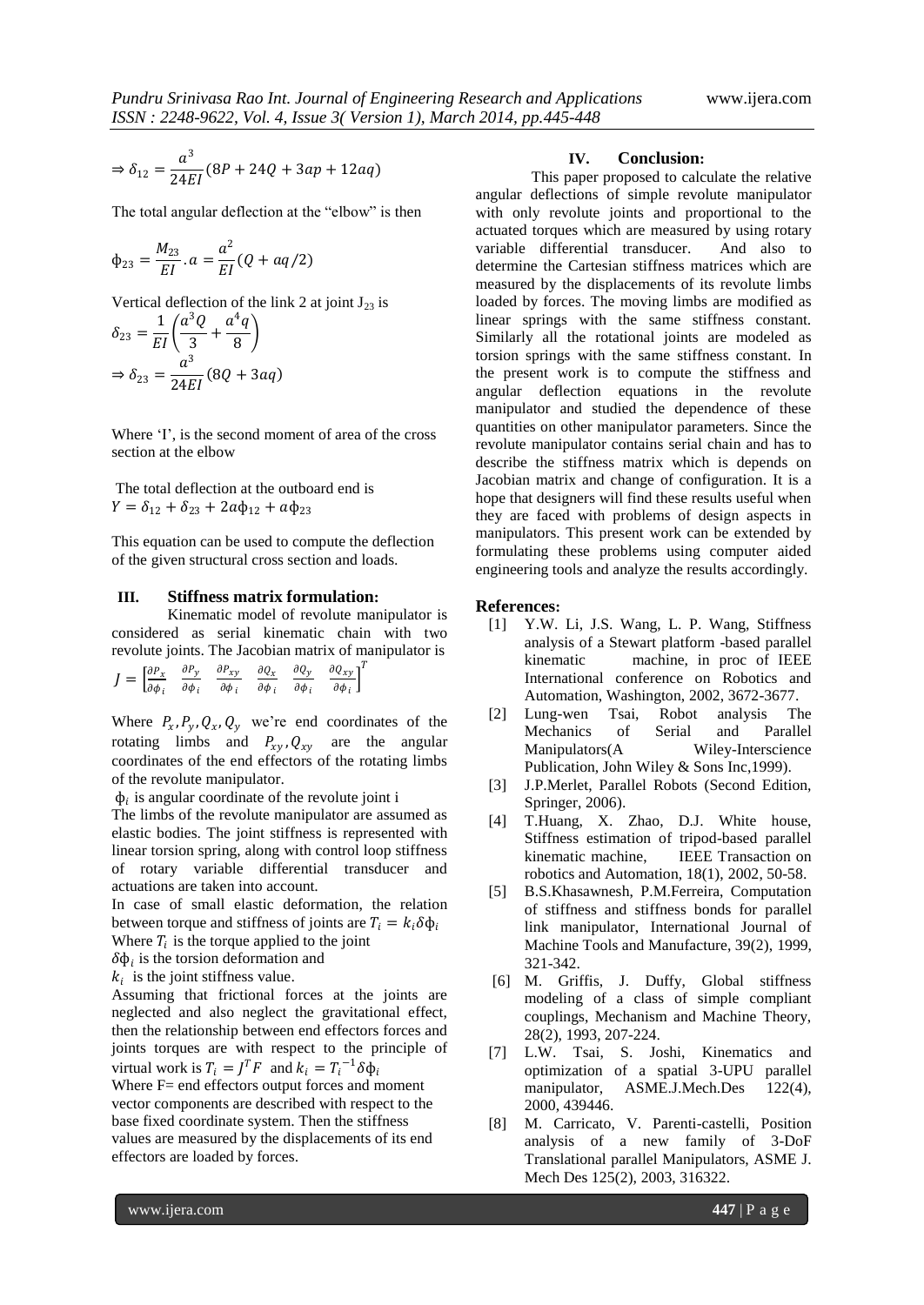$$
\Rightarrow \delta_{12} = \frac{a^3}{24EI}(8P + 24Q + 3ap + 12aq)
$$

The total angular deflection at the "elbow" is then

$$
\Phi_{23} = \frac{M_{23}}{EI}.a = \frac{a^2}{EI}(Q + aq/2)
$$

Vertical deflection of the link 2 at joint  $J_{23}$  is

$$
\delta_{23} = \frac{1}{EI} \left( \frac{a^3 Q}{3} + \frac{a^4 q}{8} \right)
$$

$$
\Rightarrow \delta_{23} = \frac{a^3}{24EI} (8Q + 3aq)
$$

Where 'I', is the second moment of area of the cross section at the elbow

The total deflection at the outboard end is  $Y = \delta_{12} + \delta_{23} + 2a\phi_{12} + a\phi_{23}$ 

This equation can be used to compute the deflection of the given structural cross section and loads.

#### **III. Stiffness matrix formulation:**

Kinematic model of revolute manipulator is considered as serial kinematic chain with two revolute joints. The Jacobian matrix of manipulator is

| $J = \begin{bmatrix} \frac{\partial P_x}{\partial \phi_i} & \frac{\partial P_y}{\partial \phi_i} & \frac{\partial P_{xy}}{\partial \phi_i} & \frac{\partial Q_x}{\partial \phi_i} & \frac{\partial Q_y}{\partial \phi_i} & \frac{\partial Q_{xy}}{\partial \phi_i} \end{bmatrix}^T$ |  |  |  |
|-------------------------------------------------------------------------------------------------------------------------------------------------------------------------------------------------------------------------------------------------------------------------------------|--|--|--|
|                                                                                                                                                                                                                                                                                     |  |  |  |

Where  $P_x$ ,  $P_y$ ,  $Q_x$ ,  $Q_y$  we're end coordinates of the rotating limbs and  $P_{xy}$ ,  $Q_{xy}$  are the angular coordinates of the end effectors of the rotating limbs of the revolute manipulator.

 $\phi_i$  is angular coordinate of the revolute joint i

The limbs of the revolute manipulator are assumed as elastic bodies. The joint stiffness is represented with linear torsion spring, along with control loop stiffness of rotary variable differential transducer and actuations are taken into account.

In case of small elastic deformation, the relation between torque and stiffness of joints are  $T_i = k_i \delta \phi_i$ Where  $T_i$  is the torque applied to the joint

 $\delta \phi_i$  is the torsion deformation and

 $k_i$  is the joint stiffness value.

Assuming that frictional forces at the joints are neglected and also neglect the gravitational effect, then the relationship between end effectors forces and joints torques are with respect to the principle of virtual work is  $T_i = J^T F$  and  $k_i = T_i^{-1} \delta \phi_i$ 

Where F= end effectors output forces and moment vector components are described with respect to the base fixed coordinate system. Then the stiffness values are measured by the displacements of its end effectors are loaded by forces.

#### **IV. Conclusion:**

This paper proposed to calculate the relative angular deflections of simple revolute manipulator with only revolute joints and proportional to the actuated torques which are measured by using rotary variable differential transducer. And also to determine the Cartesian stiffness matrices which are measured by the displacements of its revolute limbs loaded by forces. The moving limbs are modified as linear springs with the same stiffness constant. Similarly all the rotational joints are modeled as torsion springs with the same stiffness constant. In the present work is to compute the stiffness and angular deflection equations in the revolute manipulator and studied the dependence of these quantities on other manipulator parameters. Since the revolute manipulator contains serial chain and has to describe the stiffness matrix which is depends on Jacobian matrix and change of configuration. It is a hope that designers will find these results useful when they are faced with problems of design aspects in manipulators. This present work can be extended by formulating these problems using computer aided engineering tools and analyze the results accordingly.

#### **References:**

- [1] Y.W. Li, J.S. Wang, L. P. Wang, Stiffness analysis of a Stewart platform -based parallel kinematic machine, in proc of IEEE International conference on Robotics and Automation, Washington, 2002, 3672-3677.
- [2] Lung-wen Tsai, Robot analysis The Mechanics of Serial and Parallel Manipulators(A Wiley-Interscience Publication, John Wiley & Sons Inc,1999).
- [3] J.P.Merlet, Parallel Robots (Second Edition, Springer, 2006).
- [4] T.Huang, X. Zhao, D.J. White house, Stiffness estimation of tripod-based parallel kinematic machine, IEEE Transaction on robotics and Automation, 18(1), 2002, 50-58.
- [5] B.S.Khasawnesh, P.M.Ferreira, Computation of stiffness and stiffness bonds for parallel link manipulator, International Journal of Machine Tools and Manufacture, 39(2), 1999, 321-342.
- [6] M. Griffis, J. Duffy, Global stiffness modeling of a class of simple compliant couplings, Mechanism and Machine Theory, 28(2), 1993, 207-224.
- [7] L.W. Tsai, S. Joshi, Kinematics and optimization of a spatial 3-UPU parallel manipulator, ASME.J.Mech.Des 122(4), 2000, 439446.
- [8] M. Carricato, V. Parenti-castelli, Position analysis of a new family of 3-DoF Translational parallel Manipulators, ASME J. Mech Des 125(2), 2003, 316322.